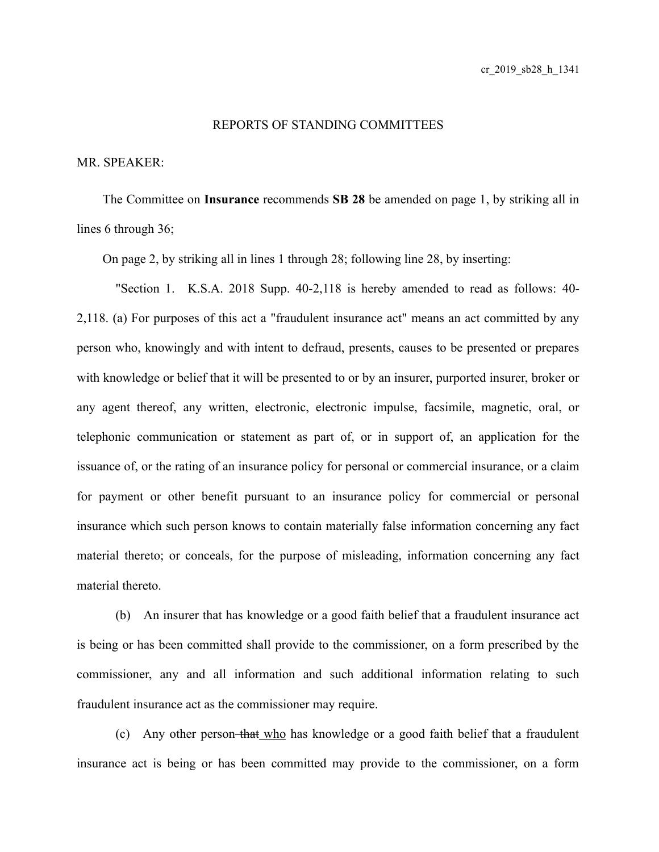## REPORTS OF STANDING COMMITTEES

## MR. SPEAKER:

The Committee on **Insurance** recommends **SB 28** be amended on page 1, by striking all in lines 6 through 36;

On page 2, by striking all in lines 1 through 28; following line 28, by inserting:

"Section 1. K.S.A. 2018 Supp. 40-2,118 is hereby amended to read as follows: 40- 2,118. (a) For purposes of this act a "fraudulent insurance act" means an act committed by any person who, knowingly and with intent to defraud, presents, causes to be presented or prepares with knowledge or belief that it will be presented to or by an insurer, purported insurer, broker or any agent thereof, any written, electronic, electronic impulse, facsimile, magnetic, oral, or telephonic communication or statement as part of, or in support of, an application for the issuance of, or the rating of an insurance policy for personal or commercial insurance, or a claim for payment or other benefit pursuant to an insurance policy for commercial or personal insurance which such person knows to contain materially false information concerning any fact material thereto; or conceals, for the purpose of misleading, information concerning any fact material thereto.

(b) An insurer that has knowledge or a good faith belief that a fraudulent insurance act is being or has been committed shall provide to the commissioner, on a form prescribed by the commissioner, any and all information and such additional information relating to such fraudulent insurance act as the commissioner may require.

(c) Any other person that who has knowledge or a good faith belief that a fraudulent insurance act is being or has been committed may provide to the commissioner, on a form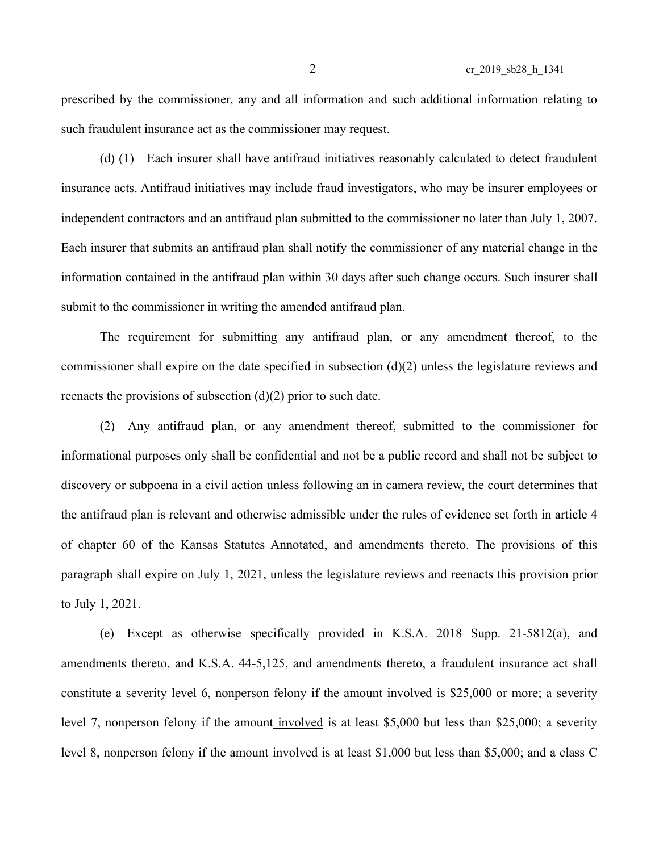prescribed by the commissioner, any and all information and such additional information relating to such fraudulent insurance act as the commissioner may request.

(d) (1) Each insurer shall have antifraud initiatives reasonably calculated to detect fraudulent insurance acts. Antifraud initiatives may include fraud investigators, who may be insurer employees or independent contractors and an antifraud plan submitted to the commissioner no later than July 1, 2007. Each insurer that submits an antifraud plan shall notify the commissioner of any material change in the information contained in the antifraud plan within 30 days after such change occurs. Such insurer shall submit to the commissioner in writing the amended antifraud plan.

The requirement for submitting any antifraud plan, or any amendment thereof, to the commissioner shall expire on the date specified in subsection (d)(2) unless the legislature reviews and reenacts the provisions of subsection  $(d)(2)$  prior to such date.

(2) Any antifraud plan, or any amendment thereof, submitted to the commissioner for informational purposes only shall be confidential and not be a public record and shall not be subject to discovery or subpoena in a civil action unless following an in camera review, the court determines that the antifraud plan is relevant and otherwise admissible under the rules of evidence set forth in article 4 of chapter 60 of the Kansas Statutes Annotated, and amendments thereto. The provisions of this paragraph shall expire on July 1, 2021, unless the legislature reviews and reenacts this provision prior to July 1, 2021.

(e) Except as otherwise specifically provided in K.S.A. 2018 Supp. 21-5812(a), and amendments thereto, and K.S.A. 44-5,125, and amendments thereto, a fraudulent insurance act shall constitute a severity level 6, nonperson felony if the amount involved is \$25,000 or more; a severity level 7, nonperson felony if the amount involved is at least \$5,000 but less than \$25,000; a severity level 8, nonperson felony if the amount involved is at least \$1,000 but less than \$5,000; and a class C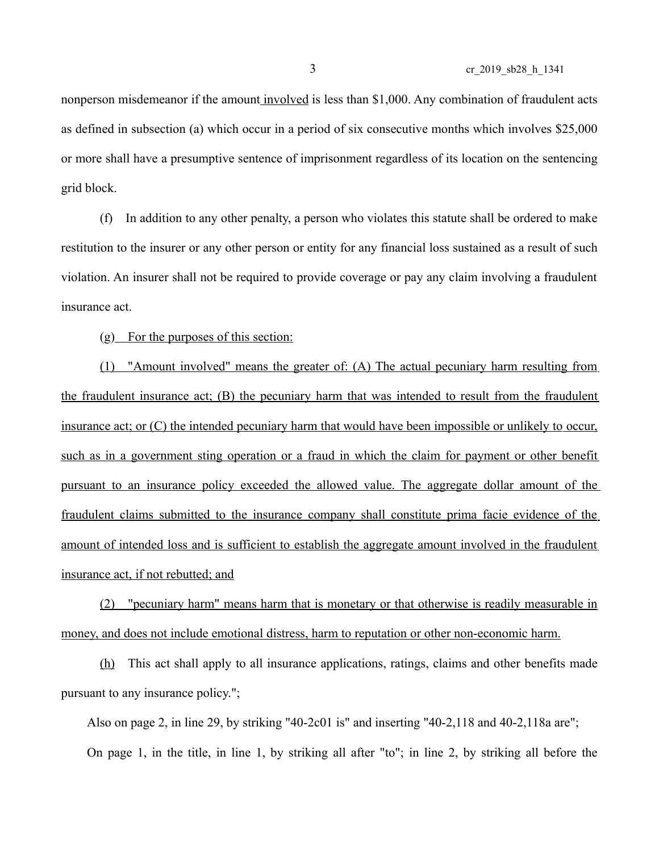## 3 cr\_2019\_sb28\_h\_1341

nonperson misdemeanor if the amount involved is less than \$1,000. Any combination of fraudulent acts as defined in subsection (a) which occur in a period of six consecutive months which involves \$25,000 or more shall have a presumptive sentence of imprisonment regardless of its location on the sentencing grid block.

(f) In addition to any other penalty, a person who violates this statute shall be ordered to make restitution to the insurer or any other person or entity for any financial loss sustained as a result of such violation. An insurer shall not be required to provide coverage or pay any claim involving a fraudulent insurance act.

(g) For the purposes of this section:

(1) "Amount involved" means the greater of: (A) The actual pecuniary harm resulting from the fraudulent insurance act; (B) the pecuniary harm that was intended to result from the fraudulent insurance act; or (C) the intended pecuniary harm that would have been impossible or unlikely to occur, such as in a government sting operation or a fraud in which the claim for payment or other benefit pursuant to an insurance policy exceeded the allowed value. The aggregate dollar amount of the fraudulent claims submitted to the insurance company shall constitute prima facie evidence of the amount of intended loss and is sufficient to establish the aggregate amount involved in the fraudulent insurance act, if not rebutted; and

 (2) "pecuniary harm" means harm that is monetary or that otherwise is readily measurable in money, and does not include emotional distress, harm to reputation or other non-economic harm.

(h) This act shall apply to all insurance applications, ratings, claims and other benefits made pursuant to any insurance policy.";

Also on page 2, in line 29, by striking "40-2c01 is" and inserting "40-2,118 and 40-2,118a are"; On page 1, in the title, in line 1, by striking all after "to"; in line 2, by striking all before the